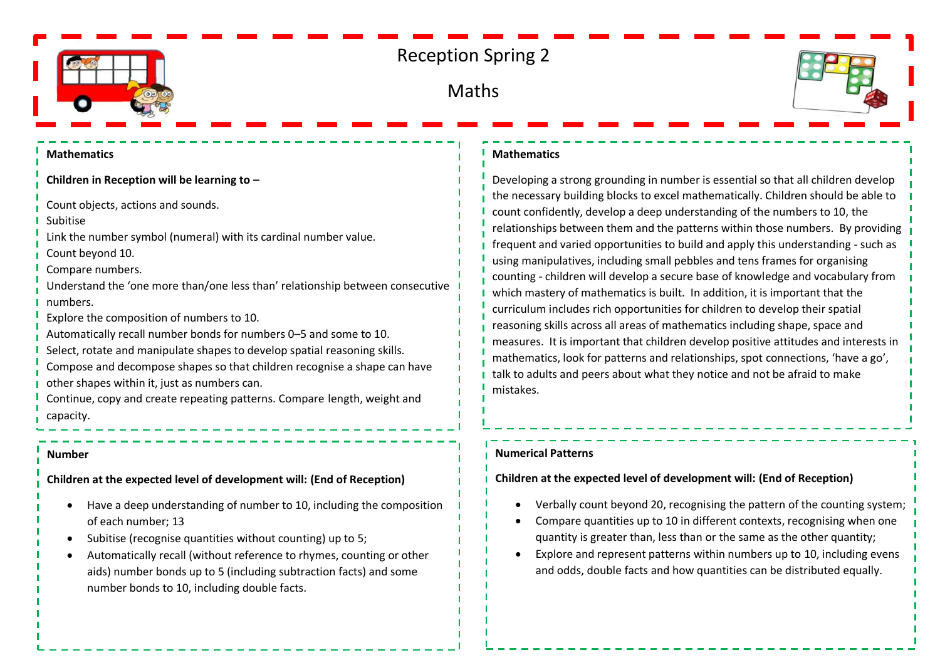

# Reception Spring 2

# Maths



#### **Mathematics**

**Children in Reception will be learning to –**

Count objects, actions and sounds.

Subitise

Link the number symbol (numeral) with its cardinal number value.

Count beyond 10.

Compare numbers.

Understand the 'one more than/one less than' relationship between consecutive numbers.

Explore the composition of numbers to 10.

- Automatically recall number bonds for numbers 0–5 and some to 10.
- Select, rotate and manipulate shapes to develop spatial reasoning skills.
- Compose and decompose shapes so that children recognise a shape can have other shapes within it, just as numbers can.

Continue, copy and create repeating patterns. Compare length, weight and capacity.

#### **Number**

**Children at the expected level of development will: (End of Reception)**

- Have a deep understanding of number to 10, including the composition of each number; 13
- Subitise (recognise quantities without counting) up to 5;
- Automatically recall (without reference to rhymes, counting or other aids) number bonds up to 5 (including subtraction facts) and some number bonds to 10, including double facts.

#### **Mathematics**

Developing a strong grounding in number is essential so that all children develop the necessary building blocks to excel mathematically. Children should be able to count confidently, develop a deep understanding of the numbers to 10, the relationships between them and the patterns within those numbers. By providing frequent and varied opportunities to build and apply this understanding - such as using manipulatives, including small pebbles and tens frames for organising counting - children will develop a secure base of knowledge and vocabulary from which mastery of mathematics is built. In addition, it is important that the curriculum includes rich opportunities for children to develop their spatial reasoning skills across all areas of mathematics including shape, space and measures. It is important that children develop positive attitudes and interests in mathematics, look for patterns and relationships, spot connections, 'have a go', talk to adults and peers about what they notice and not be afraid to make mistakes.

### **Numerical Patterns**

## **Children at the expected level of development will: (End of Reception)**

- Verbally count beyond 20, recognising the pattern of the counting system;
- Compare quantities up to 10 in different contexts, recognising when one quantity is greater than, less than or the same as the other quantity;
- Explore and represent patterns within numbers up to 10, including evens and odds, double facts and how quantities can be distributed equally.